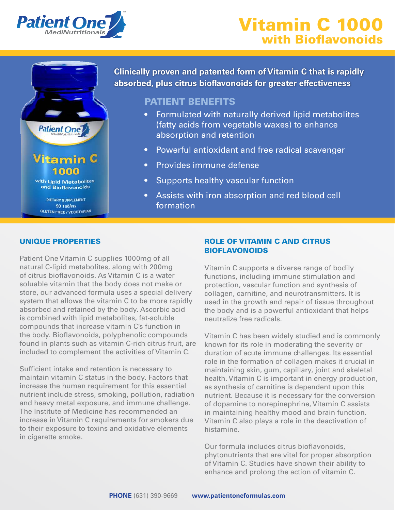





90 Tablets **GLUTEN FREE / VEGETARIAN**  **Clinically proven and patented form of Vitamin C that is rapidly absorbed, plus citrus bioflavonoids for greater effectiveness**

# PATIENT BENEFITS

- Formulated with naturally derived lipid metabolites (fatty acids from vegetable waxes) to enhance absorption and retention
- Powerful antioxidant and free radical scavenger
- Provides immune defense
- Supports healthy vascular function
- **Primary Care Assists with iron absorption and red blood cell** formation

# UNIQUE PROPERTIES

Patient One Vitamin C supplies 1000mg of all natural C-lipid metabolites, along with 200mg of citrus bioflavonoids. As Vitamin C is a water soluable vitamin that the body does not make or store, our advanced formula uses a special delivery system that allows the vitamin C to be more rapidly absorbed and retained by the body. Ascorbic acid is combined with lipid metabolites, fat-soluble compounds that increase vitamin C's function in the body. Bioflavonoids, polyphenolic compounds found in plants such as vitamin C-rich citrus fruit, are included to complement the activities of Vitamin C.

Sufficient intake and retention is necessary to maintain vitamin C status in the body. Factors that increase the human requirement for this essential nutrient include stress, smoking, pollution, radiation and heavy metal exposure, and immune challenge. The Institute of Medicine has recommended an increase in Vitamin C requirements for smokers due to their exposure to toxins and oxidative elements in cigarette smoke.

## ROLE OF VITAMIN C AND CITRUS BIOFLAVONOIDS

Vitamin C supports a diverse range of bodily functions, including immune stimulation and protection, vascular function and synthesis of collagen, carnitine, and neurotransmitters. It is used in the growth and repair of tissue throughout the body and is a powerful antioxidant that helps neutralize free radicals.

Vitamin C has been widely studied and is commonly known for its role in moderating the severity or duration of acute immune challenges. Its essential role in the formation of collagen makes it crucial in maintaining skin, gum, capillary, joint and skeletal health. Vitamin C is important in energy production, as synthesis of carnitine is dependent upon this nutrient. Because it is necessary for the conversion of dopamine to norepinephrine, Vitamin C assists in maintaining healthy mood and brain function. Vitamin C also plays a role in the deactivation of histamine.

Our formula includes citrus bioflavonoids, phytonutrients that are vital for proper absorption of Vitamin C. Studies have shown their ability to enhance and prolong the action of vitamin C.